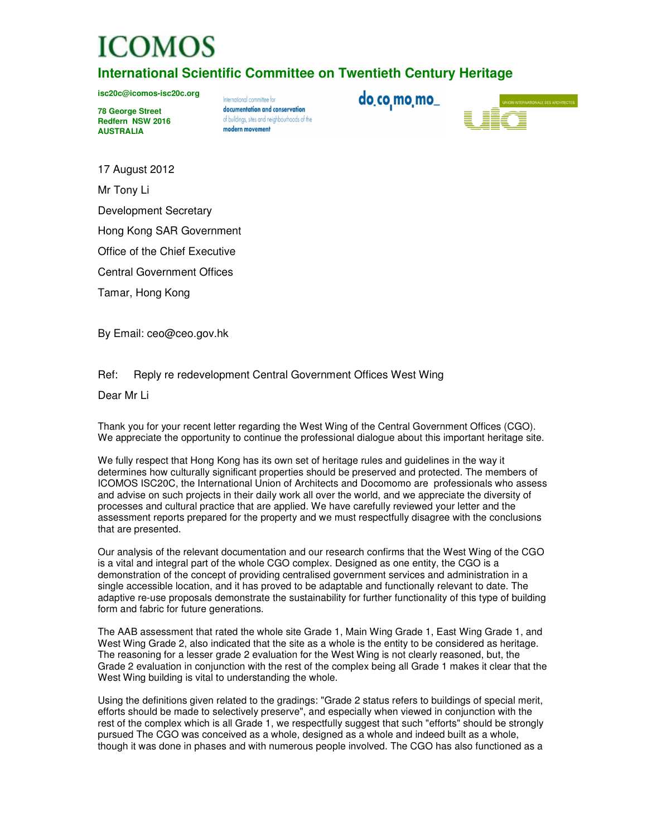## **ICOMOS**

**International Scientific Committee on Twentieth Century Heritage** 

**isc20c@icomos-isc20c.org** 

**78 George Street Redfern NSW 2016 AUSTRALIA** 

International committee for documentation and conservation of buildings, sites and neighbourhoods of the modern movement

do co mo mo

17 August 2012

Mr Tony Li

Development Secretary

Hong Kong SAR Government

Office of the Chief Executive

Central Government Offices

Tamar, Hong Kong

By Email: ceo@ceo.gov.hk

Ref: Reply re redevelopment Central Government Offices West Wing

Dear Mr Li

Thank you for your recent letter regarding the West Wing of the Central Government Offices (CGO). We appreciate the opportunity to continue the professional dialogue about this important heritage site.

We fully respect that Hong Kong has its own set of heritage rules and guidelines in the way it determines how culturally significant properties should be preserved and protected. The members of ICOMOS ISC20C, the International Union of Architects and Docomomo are professionals who assess and advise on such projects in their daily work all over the world, and we appreciate the diversity of processes and cultural practice that are applied. We have carefully reviewed your letter and the assessment reports prepared for the property and we must respectfully disagree with the conclusions that are presented.

Our analysis of the relevant documentation and our research confirms that the West Wing of the CGO is a vital and integral part of the whole CGO complex. Designed as one entity, the CGO is a demonstration of the concept of providing centralised government services and administration in a single accessible location, and it has proved to be adaptable and functionally relevant to date. The adaptive re-use proposals demonstrate the sustainability for further functionality of this type of building form and fabric for future generations.

The AAB assessment that rated the whole site Grade 1, Main Wing Grade 1, East Wing Grade 1, and West Wing Grade 2, also indicated that the site as a whole is the entity to be considered as heritage. The reasoning for a lesser grade 2 evaluation for the West Wing is not clearly reasoned, but, the Grade 2 evaluation in conjunction with the rest of the complex being all Grade 1 makes it clear that the West Wing building is vital to understanding the whole.

Using the definitions given related to the gradings: "Grade 2 status refers to buildings of special merit, efforts should be made to selectively preserve", and especially when viewed in conjunction with the rest of the complex which is all Grade 1, we respectfully suggest that such "efforts" should be strongly pursued The CGO was conceived as a whole, designed as a whole and indeed built as a whole, though it was done in phases and with numerous people involved. The CGO has also functioned as a